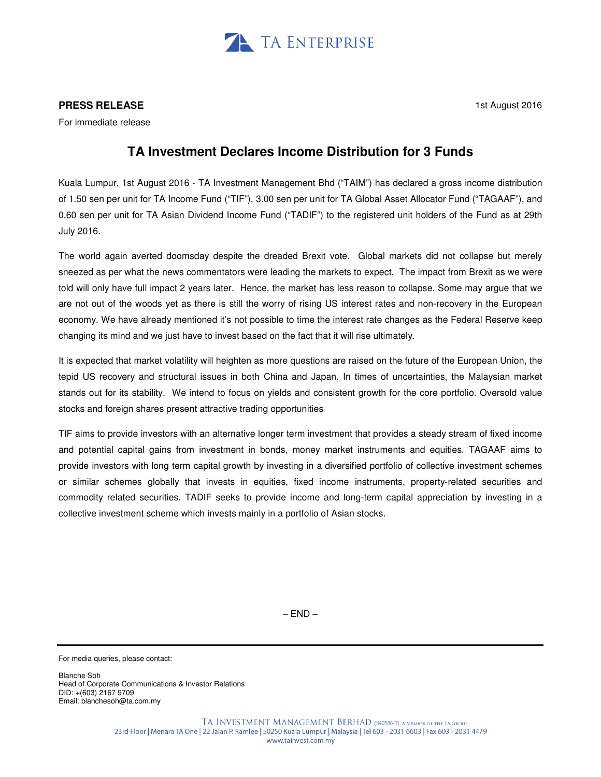

## **PRESS RELEASE**

1st August 2016

For immediate release

## **TA Investment Declares Income Distribution for 3 Funds**

Kuala Lumpur, 1st August 2016 - TA Investment Management Bhd ("TAIM") has declared a gross income distribution of 1.50 sen per unit for TA Income Fund ("TIF"), 3.00 sen per unit for TA Global Asset Allocator Fund ("TAGAAF"), and 0.60 sen per unit for TA Asian Dividend Income Fund ("TADIF") to the registered unit holders of the Fund as at 29th July 2016.

The world again averted doomsday despite the dreaded Brexit vote. Global markets did not collapse but merely sneezed as per what the news commentators were leading the markets to expect. The impact from Brexit as we were told will only have full impact 2 years later. Hence, the market has less reason to collapse. Some may argue that we are not out of the woods yet as there is still the worry of rising US interest rates and non-recovery in the European economy. We have already mentioned it's not possible to time the interest rate changes as the Federal Reserve keep changing its mind and we just have to invest based on the fact that it will rise ultimately.

It is expected that market volatility will heighten as more questions are raised on the future of the European Union, the tepid US recovery and structural issues in both China and Japan. In times of uncertainties, the Malaysian market stands out for its stability. We intend to focus on yields and consistent growth for the core portfolio. Oversold value stocks and foreign shares present attractive trading opportunities

TIF aims to provide investors with an alternative longer term investment that provides a steady stream of fixed income and potential capital gains from investment in bonds, money market instruments and equities. TAGAAF aims to provide investors with long term capital growth by investing in a diversified portfolio of collective investment schemes or similar schemes globally that invests in equities, fixed income instruments, property-related securities and commodity related securities. TADIF seeks to provide income and long-term capital appreciation by investing in a collective investment scheme which invests mainly in a portfolio of Asian stocks.

 $-$  END $-$ 

For media queries, please contact:

Blanche Soh Head of Corporate Communications & Investor Relations DID: +(603) 2167 9709 Email: blanchesoh@ta.com.my